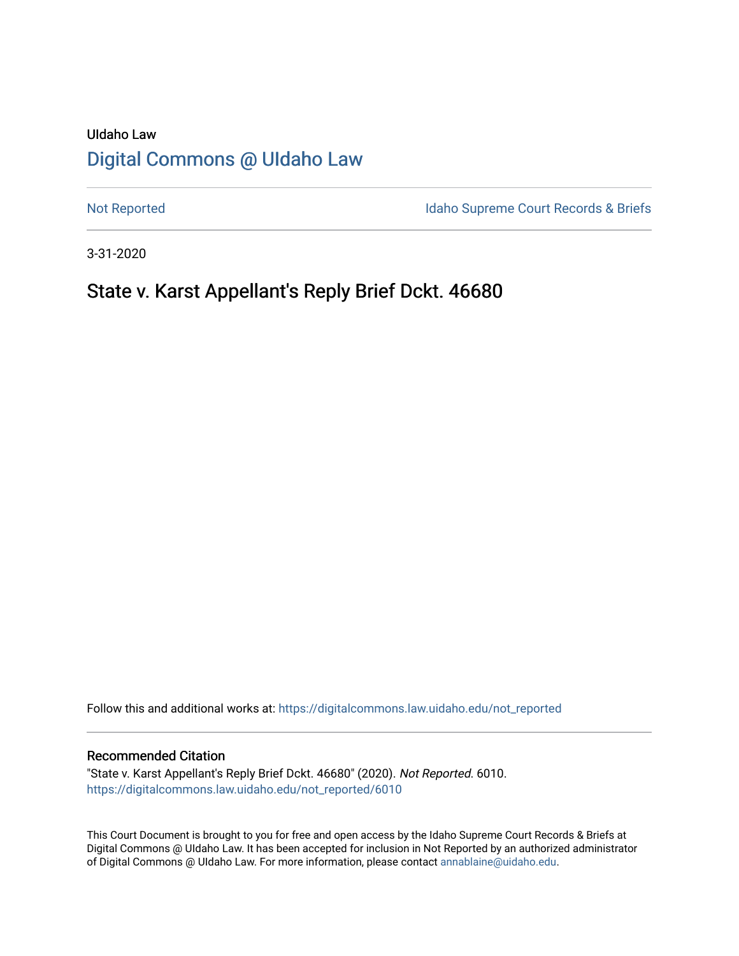# UIdaho Law [Digital Commons @ UIdaho Law](https://digitalcommons.law.uidaho.edu/)

[Not Reported](https://digitalcommons.law.uidaho.edu/not_reported) **Idaho Supreme Court Records & Briefs** 

3-31-2020

# State v. Karst Appellant's Reply Brief Dckt. 46680

Follow this and additional works at: [https://digitalcommons.law.uidaho.edu/not\\_reported](https://digitalcommons.law.uidaho.edu/not_reported?utm_source=digitalcommons.law.uidaho.edu%2Fnot_reported%2F6010&utm_medium=PDF&utm_campaign=PDFCoverPages) 

#### Recommended Citation

"State v. Karst Appellant's Reply Brief Dckt. 46680" (2020). Not Reported. 6010. [https://digitalcommons.law.uidaho.edu/not\\_reported/6010](https://digitalcommons.law.uidaho.edu/not_reported/6010?utm_source=digitalcommons.law.uidaho.edu%2Fnot_reported%2F6010&utm_medium=PDF&utm_campaign=PDFCoverPages)

This Court Document is brought to you for free and open access by the Idaho Supreme Court Records & Briefs at Digital Commons @ UIdaho Law. It has been accepted for inclusion in Not Reported by an authorized administrator of Digital Commons @ UIdaho Law. For more information, please contact [annablaine@uidaho.edu](mailto:annablaine@uidaho.edu).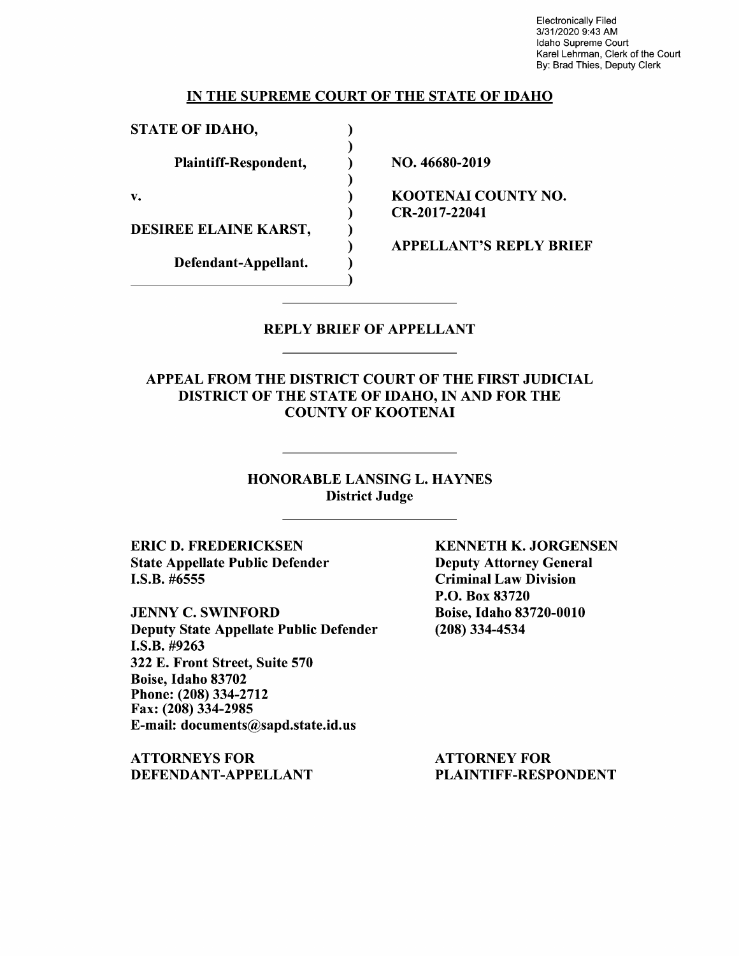Electronically Filed 3/31/2020 9:43 AM Idaho Supreme Court Karel Lehrman, Clerk of the Court By: Brad Thies, Deputy Clerk

### IN THE SUPREME COURT OF THE STATE OF IDAHO

) ) ) ) ) ) ) ) )

STATE OF IDAHO,

Plaintiff-Respondent,

v.

DESIREE ELAINE KARST,

Defendant-Appellant.

NO. 46680-2019

KOOTENAI COUNTY NO. CR-2017-22041

APPELLANT'S REPLY BRIEF

## REPLY BRIEF OF APPELLANT

# APPEAL FROM THE DISTRICT COURT OF THE FIRST JUDICIAL DISTRICT OF THE STATE OF IDAHO, IN AND FOR THE COUNTY OF KOOTENAI

HONORABLE LANSING L. HAYNES District Judge

ERIC D. FREDERICKSEN State Appellate Public Defender I.S.B. #6555

JENNY C. SWINFORD Deputy State Appellate Public Defender **I.S.B.** #9263 322 E. Front Street, Suite 570 Boise, Idaho 83702 Phone:(208)334-2712 Fax: (208) 334-2985 E-mail: documents@sapd.state.id.us

**ATTORNEYS FOR DEFENDANT-APPELLANT**  **KENNETH K. JORGENSEN**  Deputy Attorney General Criminal Law Division P.O. Box 83720 Boise, Idaho 83720-0010 (208) 334-4534

ATTORNEY FOR PLAINTIFF-RESPONDENT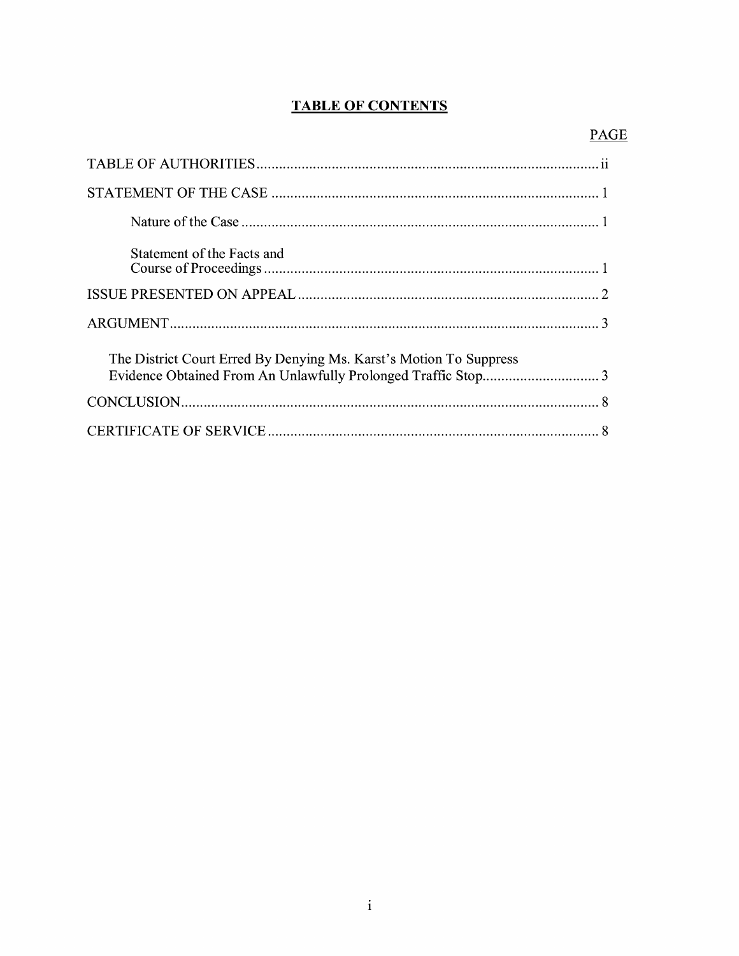# **TABLE OF CONTENTS**

| Statement of the Facts and                                         |
|--------------------------------------------------------------------|
|                                                                    |
|                                                                    |
| The District Court Erred By Denying Ms. Karst's Motion To Suppress |
|                                                                    |
|                                                                    |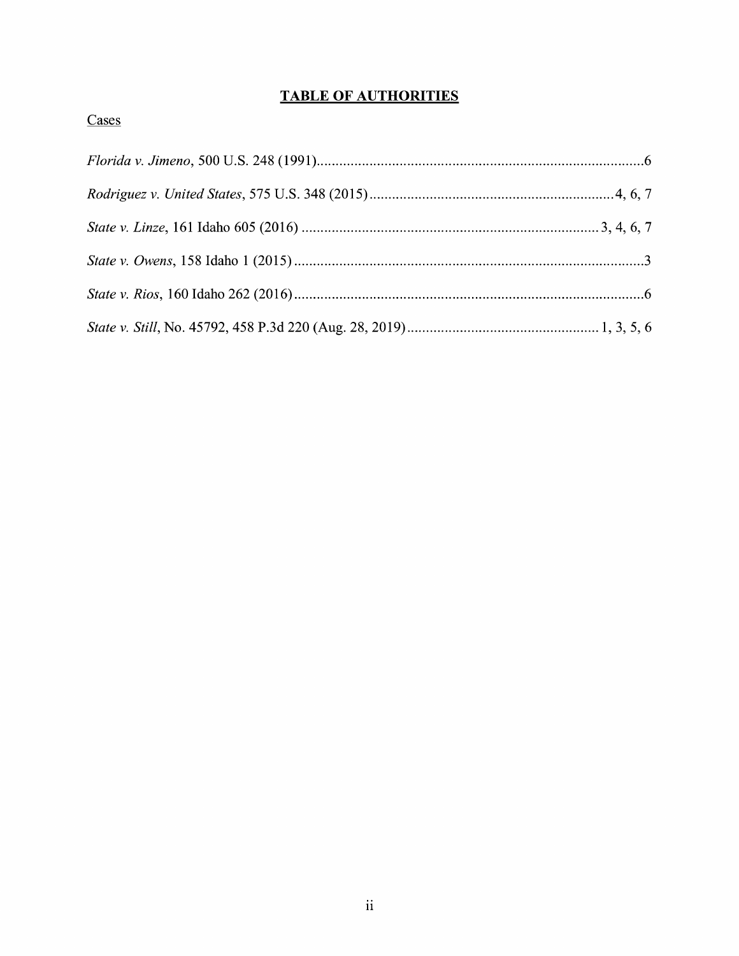# **TABLE OF AUTHORITIES**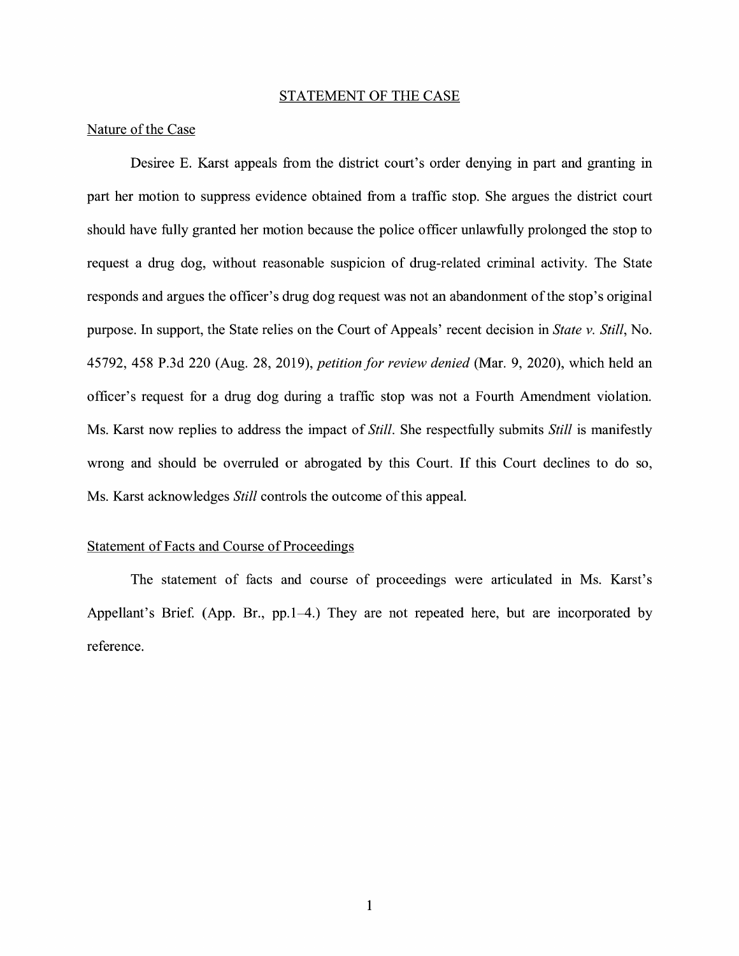#### STATEMENT OF THE CASE

### Nature of the Case

Desiree E. Karst appeals from the district court's order denying in part and granting in part her motion to suppress evidence obtained from a traffic stop. She argues the district court should have fully granted her motion because the police officer unlawfully prolonged the stop to request a drug dog, without reasonable suspicion of drug-related criminal activity. The State responds and argues the officer's drug dog request was not an abandonment of the stop's original purpose. In support, the State relies on the Court of Appeals' recent decision in *State v. Still,* No. 45792, 458 P.3d 220 (Aug. 28, 2019), *petition for review denied* (Mar. 9, 2020), which held an officer's request for a drug dog during a traffic stop was not a Fourth Amendment violation. Ms. Karst now replies to address the impact of *Still.* She respectfully submits *Still* is manifestly wrong and should be overruled or abrogated by this Court. If this Court declines to do so, Ms. Karst acknowledges *Still* controls the outcome of this appeal.

## Statement of Facts and Course of Proceedings

The statement of facts and course of proceedings were articulated in Ms. Karst's Appellant's Brief. (App. Br., pp. 1–4.) They are not repeated here, but are incorporated by reference.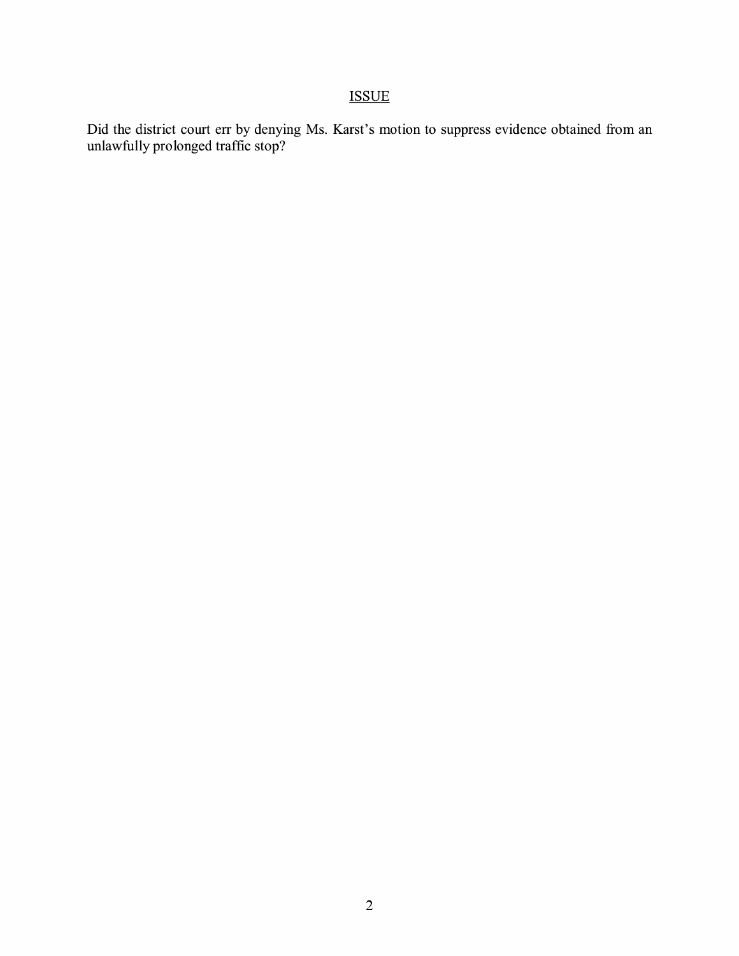# ISSUE

Did the district court err by denying Ms. Karst's motion to suppress evidence obtained from an unlawfully prolonged traffic stop?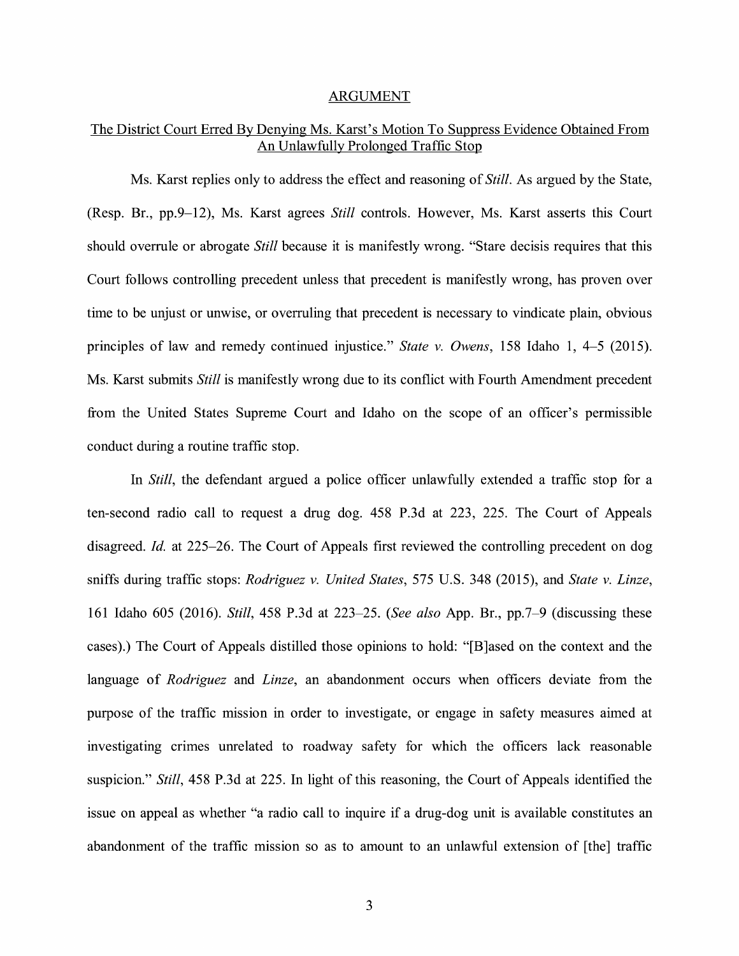#### ARGUMENT

# The District Court Erred By Denying Ms. Karst's Motion To Suppress Evidence Obtained From An Unlawfully Prolonged Traffic Stop

Ms. Karst replies only to address the effect and reasoning of *Still.* As argued by the State, (Resp. Br., pp.9-12), Ms. Karst agrees *Still* controls. However, Ms. Karst asserts this Court should overrule or abrogate *Still* because it is manifestly wrong. "Stare decisis requires that this Court follows controlling precedent unless that precedent is manifestly wrong, has proven over time to be unjust or unwise, or overruling that precedent is necessary to vindicate plain, obvious principles of law and remedy continued injustice." *State v. Owens,* 158 Idaho 1, 4-5 (2015). Ms. Karst submits *Still* is manifestly wrong due to its conflict with Fourth Amendment precedent from the United States Supreme Court and Idaho on the scope of an officer's permissible conduct during a routine traffic stop.

In *Still,* the defendant argued a police officer unlawfully extended a traffic stop for a ten-second radio call to request a drug dog. 458 P.3d at 223, 225. The Court of Appeals disagreed. *Id.* at 225-26. The Court of Appeals first reviewed the controlling precedent on dog sniffs during traffic stops: *Rodriguez v. United States,* 575 U.S. 348 (2015), and *State v. Linze,*  161 Idaho 605 (2016). *Still,* 458 P.3d at 223-25. *(See also* App. Br., pp.7-9 (discussing these cases).) The Court of Appeals distilled those opinions to hold: "[B]ased on the context and the language of *Rodriguez* and *Linze,* an abandonment occurs when officers deviate from the purpose of the traffic mission in order to investigate, or engage in safety measures aimed at investigating crimes unrelated to roadway safety for which the officers lack reasonable suspicion." *Still,* 458 P.3d at 225. In light of this reasoning, the Court of Appeals identified the issue on appeal as whether "a radio call to inquire if a drug-dog unit is available constitutes an abandonment of the traffic mission so as to amount to an unlawful extension of [the] traffic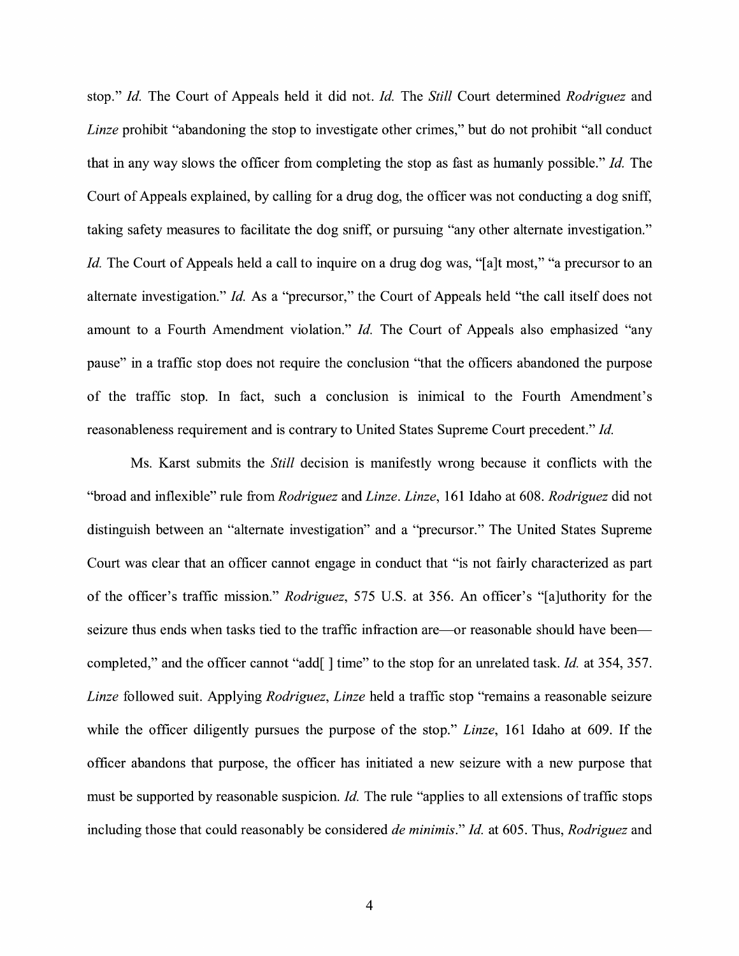stop." *Id.* The Court of Appeals held it did not. *Id.* The *Still* Court determined *Rodriguez* and *Linze* prohibit "abandoning the stop to investigate other crimes," but do not prohibit "all conduct" that in any way slows the officer from completing the stop as fast as humanly possible." *Id.* The Court of Appeals explained, by calling for a drug dog, the officer was not conducting a dog sniff, taking safety measures to facilitate the dog sniff, or pursuing "any other alternate investigation." *Id.* The Court of Appeals held a call to inquire on a drug dog was, "[a]t most," "a precursor to an alternate investigation." *Id.* As a "precursor," the Court of Appeals held "the call itself does not amount to a Fourth Amendment violation." *Id.* The Court of Appeals also emphasized "any pause" in a traffic stop does not require the conclusion "that the officers abandoned the purpose of the traffic stop. In fact, such a conclusion is inimical to the Fourth Amendment's reasonableness requirement and is contrary to United States Supreme Court precedent." *Id.* 

Ms. Karst submits the *Still* decision is manifestly wrong because it conflicts with the "broad and inflexible" rule from *Rodriguez* and *Linze. Linze,* 161 Idaho at 608. *Rodriguez* did not distinguish between an "alternate investigation" and a "precursor." The United States Supreme Court was clear that an officer cannot engage in conduct that "is not fairly characterized as part of the officer's traffic mission." *Rodriguez,* 575 U.S. at 356. An officer's "[a]uthority for the seizure thus ends when tasks tied to the traffic infraction are—or reasonable should have been completed," and the officer cannot "add[] time" to the stop for an unrelated task. *Id.* at 354, 357. *Linze* followed suit. Applying *Rodriguez, Linze* held a traffic stop "remains a reasonable seizure while the officer diligently pursues the purpose of the stop." *Linze,* 161 Idaho at 609. If the officer abandons that purpose, the officer has initiated a new seizure with a new purpose that must be supported by reasonable suspicion. *Id.* The rule "applies to all extensions of traffic stops including those that could reasonably be considered *de minimis." Id.* at 605. Thus, *Rodriguez* and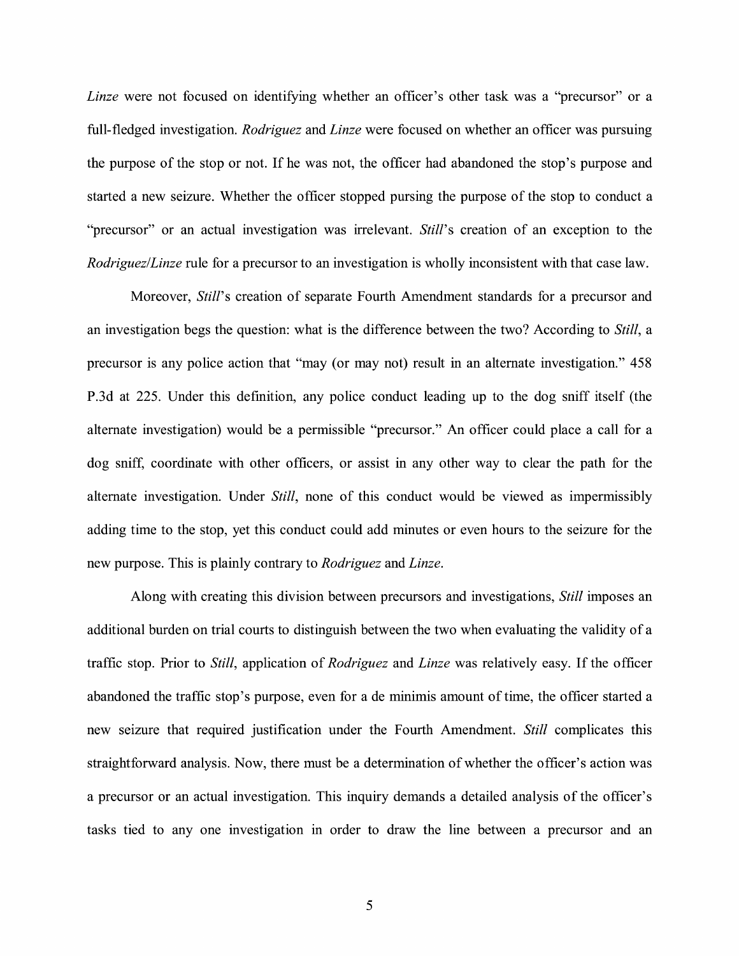*Linze* were not focused on identifying whether an officer's other task was a "precursor" or a full-fledged investigation. *Rodriguez* and *Linze* were focused on whether an officer was pursuing the purpose of the stop or not. If he was not, the officer had abandoned the stop's purpose and started a new seizure. Whether the officer stopped pursing the purpose of the stop to conduct a "precursor" or an actual investigation was irrelevant. *Still*'s creation of an exception to the *Rodriguez/Linze* rule for a precursor to an investigation is wholly inconsistent with that case law.

Moreover, *Still's* creation of separate Fourth Amendment standards for a precursor and an investigation begs the question: what is the difference between the two? According to *Still,* a precursor is any police action that "may (or may not) result in an alternate investigation." 458 P.3d at 225. Under this definition, any police conduct leading up to the dog sniff itself (the alternate investigation) would be a permissible "precursor." An officer could place a call for a dog sniff, coordinate with other officers, or assist in any other way to clear the path for the alternate investigation. Under *Still,* none of this conduct would be viewed as impermissibly adding time to the stop, yet this conduct could add minutes or even hours to the seizure for the new purpose. This is plainly contrary to *Rodriguez* and *Linze.* 

Along with creating this division between precursors and investigations, *Still* imposes an additional burden on trial courts to distinguish between the two when evaluating the validity of a traffic stop. Prior to *Still,* application of *Rodriguez* and *Linze* was relatively easy. If the officer abandoned the traffic stop's purpose, even for a de minimis amount of time, the officer started a new seizure that required justification under the Fourth Amendment. *Still* complicates this straightforward analysis. Now, there must be a determination of whether the officer's action was a precursor or an actual investigation. This inquiry demands a detailed analysis of the officer's tasks tied to any one investigation in order to draw the line between a precursor and an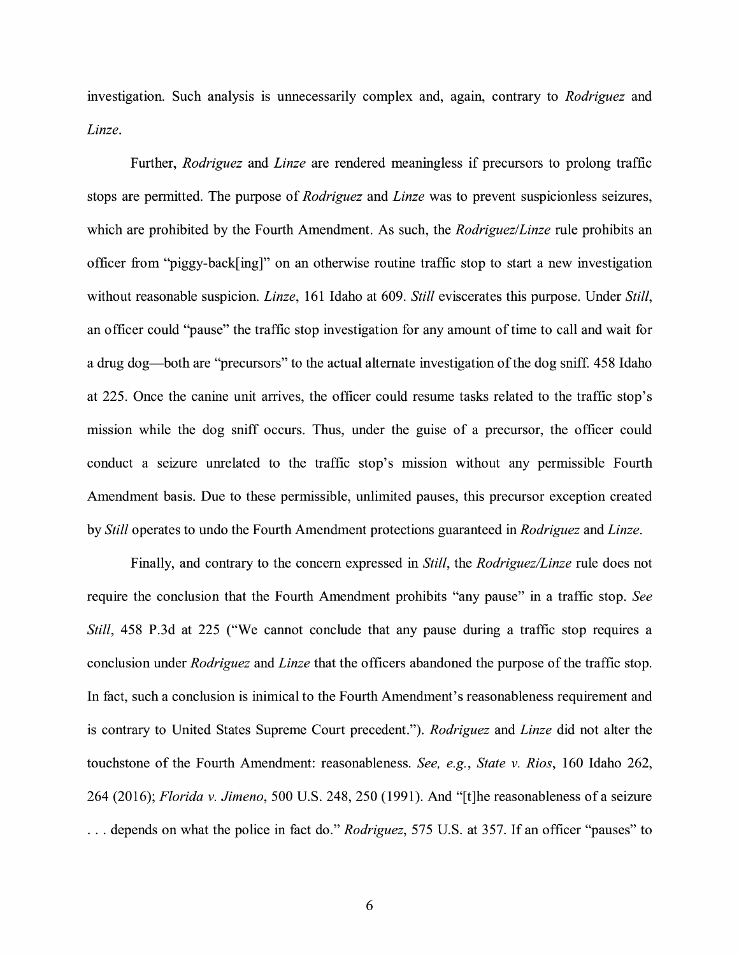investigation. Such analysis is unnecessarily complex and, agam, contrary to *Rodriguez* and *Linze.* 

Further, *Rodriguez* and *Linze* are rendered meaningless if precursors to prolong traffic stops are permitted. The purpose of *Rodriguez* and *Linze* was to prevent suspicionless seizures, which are prohibited by the Fourth Amendment. As such, the *Rodriguez/Linze* rule prohibits an officer from "piggy-back[ing]" on an otherwise routine traffic stop to start a new investigation without reasonable suspicion. *Linze*, 161 Idaho at 609. *Still* eviscerates this purpose. Under *Still*, an officer could "pause" the traffic stop investigation for any amount of time to call and wait for a drug dog—both are "precursors" to the actual alternate investigation of the dog sniff. 458 Idaho at 225. Once the canine unit arrives, the officer could resume tasks related to the traffic stop's mission while the dog sniff occurs. Thus, under the guise of a precursor, the officer could conduct a seizure unrelated to the traffic stop's mission without any permissible Fourth Amendment basis. Due to these permissible, unlimited pauses, this precursor exception created by *Still* operates to undo the Fourth Amendment protections guaranteed in *Rodriguez* and *Linze.* 

Finally, and contrary to the concern expressed in *Still,* the *Rodriguez/Linze* rule does not require the conclusion that the Fourth Amendment prohibits "any pause" in a traffic stop. *See Still*, 458 P.3d at 225 ("We cannot conclude that any pause during a traffic stop requires a conclusion under *Rodriguez* and *Linze* that the officers abandoned the purpose of the traffic stop. In fact, such a conclusion is inimical to the Fourth Amendment's reasonableness requirement and is contrary to United States Supreme Court precedent."). *Rodriguez* and *Linze* did not alter the touchstone of the Fourth Amendment: reasonableness. *See, e.g., State v. Rios,* 160 Idaho 262, 264 (2016); *Florida v. Jimeno,* 500 U.S. 248,250 (1991). And "[t]he reasonableness of a seizure ... depends on what the police in fact do." *Rodriguez,* 575 U.S. at 357. If an officer "pauses" to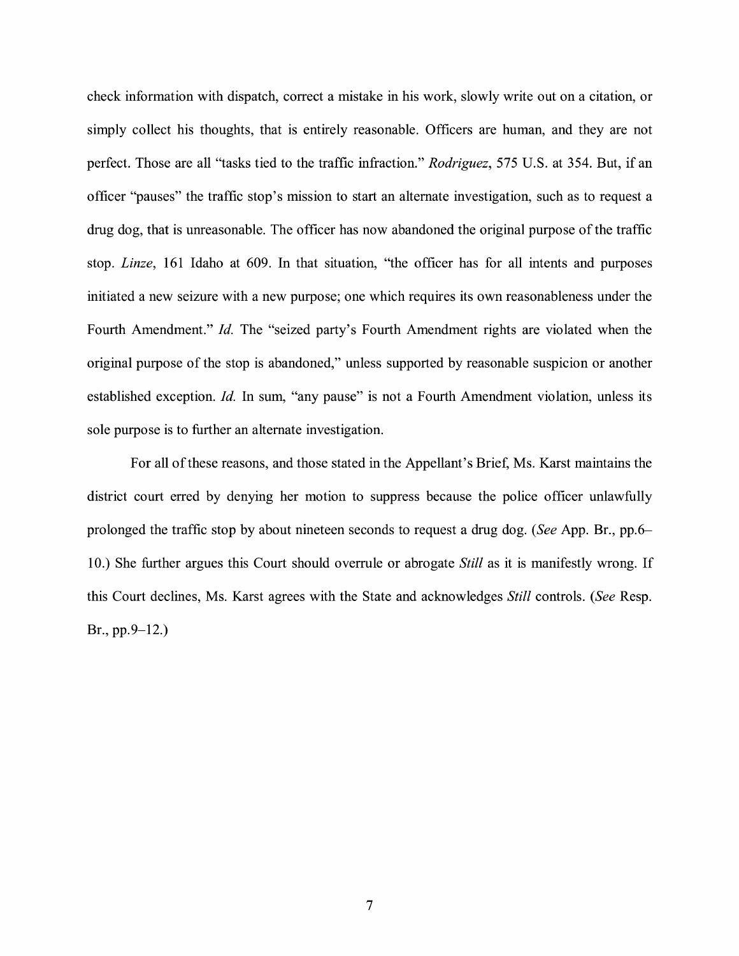check information with dispatch, correct a mistake in his work, slowly write out on a citation, or simply collect his thoughts, that is entirely reasonable. Officers are human, and they are not perfect. Those are all "tasks tied to the traffic infraction." *Rodriguez,* 575 U.S. at 354. But, if an officer "pauses" the traffic stop's mission to start an alternate investigation, such as to request a drug dog, that is unreasonable. The officer has now abandoned the original purpose of the traffic stop. *Linze,* 161 Idaho at 609. In that situation, "the officer has for all intents and purposes initiated a new seizure with a new purpose; one which requires its own reasonableness under the Fourth Amendment." *Id.* The "seized party's Fourth Amendment rights are violated when the original purpose of the stop is abandoned," unless supported by reasonable suspicion or another established exception. *Id.* In sum, "any pause" is not a Fourth Amendment violation, unless its sole purpose is to further an alternate investigation.

For all of these reasons, and those stated in the Appellant's Brief, Ms. Karst maintains the district court erred by denying her motion to suppress because the police officer unlawfully prolonged the traffic stop by about nineteen seconds to request a drug dog. *(See* App. Br., pp.6- 10.) She further argues this Court should overrule or abrogate *Still* as it is manifestly wrong. If this Court declines, Ms. Karst agrees with the State and acknowledges *Still* controls. *(See* Resp. Br., pp.9-12.)